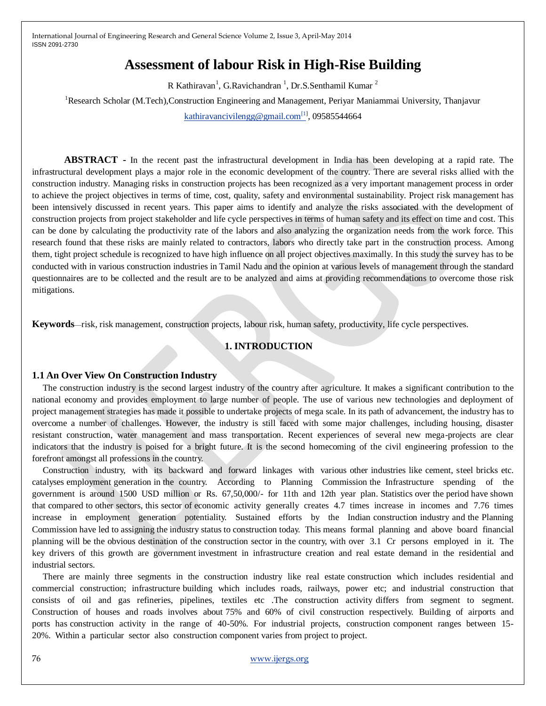# **Assessment of labour Risk in High-Rise Building**

R Kathiravan<sup>1</sup>, G.Ravichandran<sup>1</sup>, Dr.S.Senthamil Kumar<sup>2</sup>

<sup>1</sup>Research Scholar (M.Tech),Construction Engineering and Management, Periyar Maniammai University, Thanjavur [kathiravancivilengg@gmail.com](mailto:kathiravancivilengg@gmail.com[1)<sup>[1]</sup>, 09585544664

**ABSTRACT -** In the recent past the infrastructural development in India has been developing at a rapid rate. The infrastructural development plays a major role in the economic development of the country. There are several risks allied with the construction industry. Managing risks in construction projects has been recognized as a very important management process in order to achieve the project objectives in terms of time, cost, quality, safety and environmental sustainability. Project risk management has been intensively discussed in recent years. This paper aims to identify and analyze the risks associated with the development of construction projects from project stakeholder and life cycle perspectives in terms of human safety and its effect on time and cost. This can be done by calculating the productivity rate of the labors and also analyzing the organization needs from the work force. This research found that these risks are mainly related to contractors, labors who directly take part in the construction process. Among them, tight project schedule is recognized to have high influence on all project objectives maximally. In this study the survey has to be conducted with in various construction industries in Tamil Nadu and the opinion at various levels of management through the standard questionnaires are to be collected and the result are to be analyzed and aims at providing recommendations to overcome those risk mitigations.

**Keywords**—risk, risk management, construction projects, labour risk, human safety, productivity, life cycle perspectives.

### **1. INTRODUCTION**

#### **1.1 An Over View On Construction Industry**

The construction industry is the second largest industry of the country after agriculture. It makes a significant contribution to the national economy and provides employment to large number of people. The use of various new technologies and deployment of project management strategies has made it possible to undertake projects of mega scale. In its path of advancement, the industry has to overcome a number of challenges. However, the industry is still faced with some major challenges, including housing, disaster resistant construction, water management and mass transportation. Recent experiences of several new mega-projects are clear indicators that the industry is poised for a bright future. It is the second homecoming of the civil engineering profession to the forefront amongst all professions in the country.

Construction industry, with its backward and forward linkages with various other industries like cement, steel bricks etc. catalyses employment generation in the country. According to Planning Commission the Infrastructure spending of the government is around 1500 USD million or Rs. 67,50,000/- for 11th and 12th year plan. Statistics over the period have shown that compared to other sectors, this sector of economic activity generally creates 4.7 times increase in incomes and 7.76 times increase in employment generation potentiality. Sustained efforts by the Indian construction industry and the Planning Commission have led to assigning the industry status to construction today. This means formal planning and above board financial planning will be the obvious destination of the construction sector in the country, with over 3.1 Cr persons employed in it. The key drivers of this growth are government investment in infrastructure creation and real estate demand in the residential and industrial sectors.

There are mainly three segments in the construction industry like real estate construction which includes residential and commercial construction; infrastructure building which includes roads, railways, power etc; and industrial construction that consists of oil and gas refineries, pipelines, textiles etc .The construction activity differs from segment to segment. Construction of houses and roads involves about 75% and 60% of civil construction respectively. Building of airports and ports has construction activity in the range of 40-50%. For industrial projects, construction component ranges between 15- 20%. Within a particular sector also construction component varies from project to project.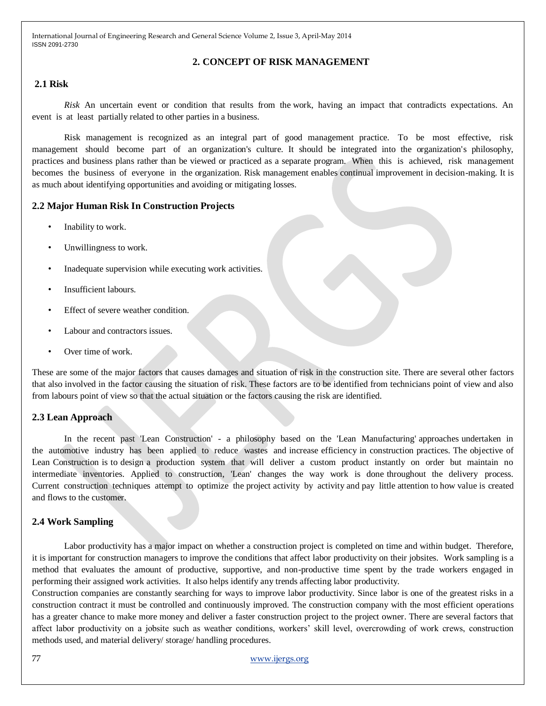### **2. CONCEPT OF RISK MANAGEMENT**

## **2.1 Risk**

*Risk* An uncertain event or condition that results from the work, having an impact that contradicts expectations. An event is at least partially related to other parties in a business.

Risk management is recognized as an integral part of good management practice. To be most effective, risk management should become part of an organization's culture. It should be integrated into the organization's philosophy, practices and business plans rather than be viewed or practiced as a separate program. When this is achieved, risk management becomes the business of everyone in the organization. Risk management enables continual improvement in decision-making. It is as much about identifying opportunities and avoiding or mitigating losses.

### **2.2 Major Human Risk In Construction Projects**

- Inability to work.
- Unwillingness to work.
- Inadequate supervision while executing work activities.
- Insufficient labours.
- Effect of severe weather condition.
- Labour and contractors issues.
- Over time of work.

These are some of the major factors that causes damages and situation of risk in the construction site. There are several other factors that also involved in the factor causing the situation of risk. These factors are to be identified from technicians point of view and also from labours point of view so that the actual situation or the factors causing the risk are identified.

### **2.3 Lean Approach**

In the recent past 'Lean Construction' - a philosophy based on the 'Lean Manufacturing' approaches undertaken in the automotive industry has been applied to reduce wastes and increase efficiency in construction practices. The objective of Lean Construction is to design a production system that will deliver a custom product instantly on order but maintain no intermediate inventories. Applied to construction, 'Lean' changes the way work is done throughout the delivery process. Current construction techniques attempt to optimize the project activity by activity and pay little attention to how value is created and flows to the customer.

### **2.4 Work Sampling**

Labor productivity has a major impact on whether a construction project is completed on time and within budget. Therefore, it is important for construction managers to improve the conditions that affect labor productivity on their jobsites. Work sampling is a method that evaluates the amount of productive, supportive, and non-productive time spent by the trade workers engaged in performing their assigned work activities. It also helps identify any trends affecting labor productivity.

Construction companies are constantly searching for ways to improve labor productivity. Since labor is one of the greatest risks in a construction contract it must be controlled and continuously improved. The construction company with the most efficient operations has a greater chance to make more money and deliver a faster construction project to the project owner. There are several factors that affect labor productivity on a jobsite such as weather conditions, workers' skill level, overcrowding of work crews, construction methods used, and material delivery/ storage/ handling procedures.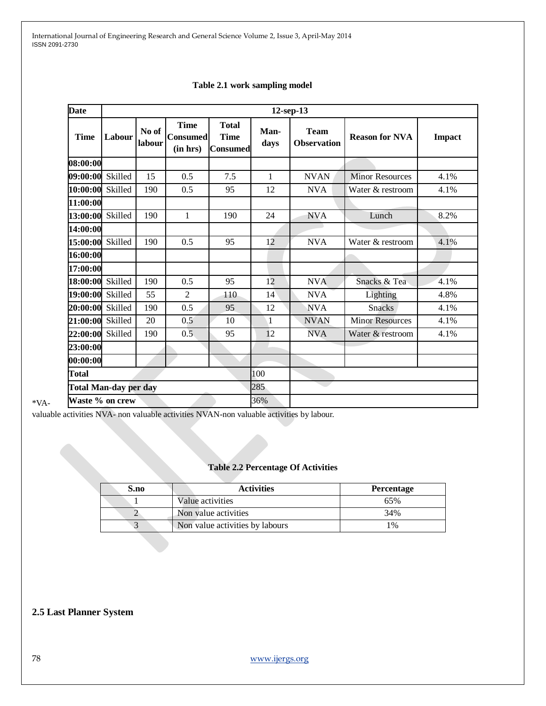| <b>Date</b>     | $12$ -sep-13                        |     |                                            |                                                |     |                                   |                        |               |  |
|-----------------|-------------------------------------|-----|--------------------------------------------|------------------------------------------------|-----|-----------------------------------|------------------------|---------------|--|
| <b>Time</b>     | No of<br>Labour<br>labour           |     | <b>Time</b><br><b>Consumed</b><br>(in hrs) | <b>Total</b><br><b>Time</b><br><b>Consumed</b> |     | <b>Team</b><br><b>Observation</b> | <b>Reason for NVA</b>  | <b>Impact</b> |  |
| 08:00:00        |                                     |     |                                            |                                                |     |                                   |                        |               |  |
| 09:00:00        | Skilled                             | 15  | 0.5                                        | 7.5                                            | 1   | <b>NVAN</b>                       | <b>Minor Resources</b> | 4.1%          |  |
| 10:00:00        | Skilled                             | 190 | 0.5                                        | 95                                             | 12  | <b>NVA</b>                        | Water & restroom       | 4.1%          |  |
| 11:00:00        |                                     |     |                                            |                                                |     |                                   |                        |               |  |
| 13:00:00        | Skilled                             | 190 | $\mathbf{1}$                               | 190                                            | 24  | <b>NVA</b>                        | Lunch                  | 8.2%          |  |
| 14:00:00        |                                     |     |                                            |                                                |     |                                   |                        |               |  |
| 15:00:00        | Skilled                             | 190 | 0.5                                        | 95                                             | 12  | <b>NVA</b>                        | Water & restroom       | 4.1%          |  |
| 16:00:00        |                                     |     |                                            |                                                |     |                                   |                        |               |  |
| 17:00:00        |                                     |     |                                            |                                                |     |                                   |                        |               |  |
| 18:00:00        | Skilled                             | 190 | 0.5                                        | 95                                             | 12  | <b>NVA</b>                        | Snacks & Tea           | 4.1%          |  |
| 19:00:00        | Skilled                             | 55  | $\overline{2}$                             | 110                                            | 14  | <b>NVA</b>                        | Lighting               | 4.8%          |  |
| 20:00:00        | Skilled                             | 190 | 0.5                                        | 95                                             | 12  | <b>NVA</b>                        | <b>Snacks</b>          | 4.1%          |  |
| 21:00:00        | Skilled                             | 20  | 0.5                                        | 10                                             | 1   | <b>NVAN</b>                       | <b>Minor Resources</b> | 4.1%          |  |
| 22:00:00        | Skilled                             | 190 | 0.5                                        | 95                                             | 12  | <b>NVA</b>                        | Water & restroom       | 4.1%          |  |
| 23:00:00        |                                     |     |                                            |                                                |     |                                   |                        |               |  |
| 00:00:00        |                                     |     |                                            |                                                |     |                                   |                        |               |  |
| <b>Total</b>    |                                     |     |                                            |                                                | 100 |                                   |                        |               |  |
|                 | 285<br><b>Total Man-day per day</b> |     |                                            |                                                |     |                                   |                        |               |  |
| Waste % on crew |                                     |     |                                            |                                                | 36% |                                   |                        |               |  |

### **Table 2.1 work sampling model**

valuable activities NVA- non valuable activities NVAN-non valuable activities by labour.

# **Table 2.2 Percentage Of Activities**

| S.no | <b>Activities</b>               | <b>Percentage</b> |
|------|---------------------------------|-------------------|
|      | Value activities                | 65%               |
|      | Non value activities            | 34%               |
|      | Non value activities by labours | $1\%$             |

## **2.5 Last Planner System**

\*VA-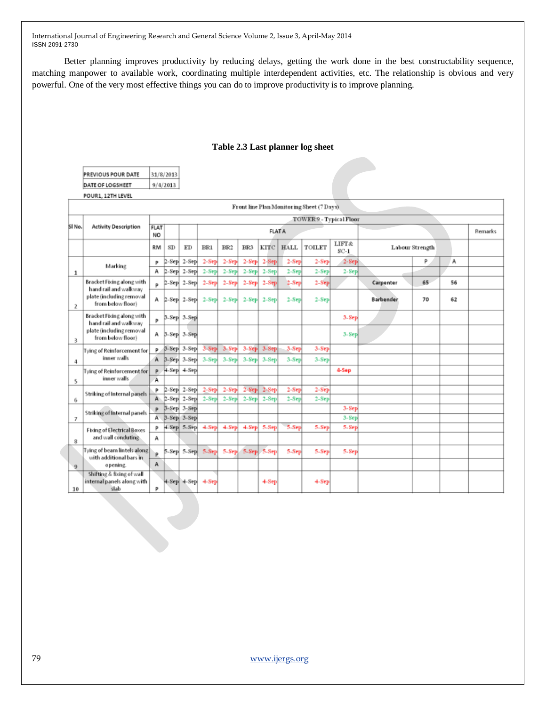31/8/2013

 $9/4/2013$ 

PREVIOUS POUR DATE

DATE OF LOGSHEET

Better planning improves productivity by reducing delays, getting the work done in the best constructability sequence, matching manpower to available work, coordinating multiple interdependent activities, etc. The relationship is obvious and very powerful. One of the very most effective things you can do to improve productivity is to improve planning.

|        | POUR1, 12TH LEVEL                                                      |                         |                      |                        |          |          |          |                 |              |                                            |                 |           |                 |    |         |
|--------|------------------------------------------------------------------------|-------------------------|----------------------|------------------------|----------|----------|----------|-----------------|--------------|--------------------------------------------|-----------------|-----------|-----------------|----|---------|
|        |                                                                        |                         |                      |                        |          |          |          |                 |              | Front line Plan Monitoring Sheet (7 Days). |                 |           |                 |    |         |
|        |                                                                        | TOWER 9 - Typical Floor |                      |                        |          |          |          |                 |              |                                            |                 |           |                 |    |         |
| SI No. | <b>Activity Description</b>                                            | FLAT<br>NO              |                      |                        |          |          |          | <b>FLAT A</b>   |              |                                            |                 |           |                 |    | Remarks |
|        |                                                                        | RM                      | SD                   | ED                     | BR1      | BR2      | BR3      | KITC            | <b>HALL</b>  | TOILET                                     | LIFT&<br>$SC-1$ |           | Labour Strength |    |         |
|        |                                                                        | P                       | $2-$ Sep $\parallel$ | $2-Step$               | $2-Step$ | $2-Step$ | $2-Step$ | $2-Step$        | $2-$ Sep $ $ | $2-Step$                                   | $2-8ep$         |           | P               | А  |         |
| 1      | Marking                                                                | А                       |                      | $2-8$ ep $ 2-8$ ep $ $ | $2-Step$ | $2-Step$ | $2-Sep$  | $2-Step$        | $2-8$ ep     | $2-8ep$                                    | $2-8ep$         |           |                 |    |         |
|        | Bracket Fixing along with                                              | Þ                       |                      | $2-8$ ep $ 2-8$ ep $ $ | $2-Sep$  | $2-Step$ | $2-Sep$  | $2-Sep$         | $2-$ Sep $-$ | $2-Step$                                   |                 | Carpenter | 65              | 56 |         |
| 2      | hand rail and walkway<br>plate (including removal<br>from below floor) | А                       |                      | $2-8$ ep $ 2-8$ ep $ $ | $2-Step$ | $2-Step$ |          | $2-Sep$ $2-Sep$ | $2-$ Sep $ $ | $2-Step$                                   |                 | Barbender | 70              | 62 |         |
|        | Bracket Fixing along with<br>hand rail and walkway                     | P                       |                      | 3-Sep 3-Sep            |          |          |          |                 |              |                                            | 3-Sep           |           |                 |    |         |
| 3.     | plate (including removal<br>from below floor)                          | А                       |                      | 3-Sep 3-Sep            |          |          |          |                 |              |                                            | 3-Sep           |           |                 |    |         |
|        | Tying of Reinforcement for                                             | P.                      |                      | 3-Sep 3-Sep            | $3-Step$ | $3-Step$ | $3-Step$ | $3-Step$        | $3-$ Sep     | $3-Step$                                   |                 |           |                 |    |         |
| 4      | inner walls                                                            | A                       |                      | 3-Sep 3-Sep            | $3-Step$ | $3-Step$ |          | 3-Sep 3-Sep     | 3-Sep        | $3-Step$                                   |                 |           |                 |    |         |
|        | Tying of Reinforcement for                                             | P                       |                      | 4-Sep 4-Sep            |          |          |          |                 |              |                                            | 4-Sep           |           |                 |    |         |
| 5      | inner walls.                                                           | A                       |                      |                        |          |          |          |                 |              |                                            |                 |           |                 |    |         |
|        |                                                                        | P                       |                      | $2-$ Sep $ 2-$ Sep $ $ | $2-Step$ | $2-Step$ | $2-Sep$  | $2-Sep$         | $2-$ Sep $ $ | $2-Step$                                   |                 |           |                 |    |         |
| 6      | Striking of Internal panels                                            | A.                      |                      | $2-8$ ep $ 2-8$ ep $ $ | $2-Sep$  | $2-Step$ | $2-Sep$  | $2-Sep$         | $2-$ Sep     | $2-$ Sep $ $                               |                 |           |                 |    |         |
|        |                                                                        | P                       |                      | 3-Sep 3-Sep            |          |          |          |                 |              |                                            | $3-8ep$         |           |                 |    |         |
| 7      | <b>Striking of Internal panels</b>                                     | A.                      |                      | 3-Sep 3-Sep            |          |          |          |                 |              |                                            | 3-Sep           |           |                 |    |         |
|        | <b>Fixing of Electrical Boxes</b><br>and wall conduting.               | P                       |                      | 4-Sep 5-Sep            | $4-Step$ | $4-Step$ | $4-Step$ | 5-Sep           | 5-Sep        | 5-Sep                                      | 5-Sep           |           |                 |    |         |
| 8      |                                                                        | А                       |                      |                        |          |          |          |                 |              |                                            |                 |           |                 |    |         |
|        | Tying of beam lintels along  <br>with additional bars in               |                         |                      | 5-Sep 5-Sep            | 5-Sep    | 5-Sep.   |          | 5-Sep 5-Sep     | 5-Sep        | 5-Sep                                      | 5-Sep           |           |                 |    |         |
| 9      | opening.                                                               |                         |                      |                        |          |          |          |                 |              |                                            |                 |           |                 |    |         |
| 10     | Shifting & fixing of wall<br>internal panels along with<br>slab        | P                       |                      | $4-Sep$ $4-Sep$        | $4-Step$ |          |          | $+$ Sep         |              | $4-Step$                                   |                 |           |                 |    |         |

### **Table 2.3 Last planner log sheet**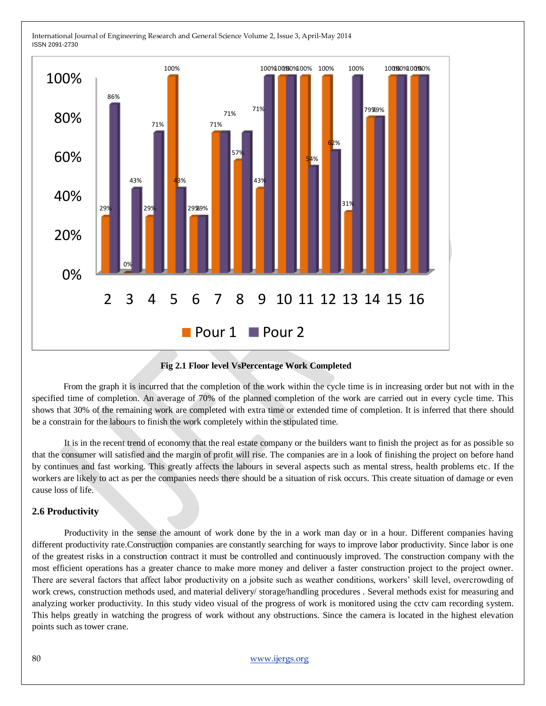

### **Fig 2.1 Floor level VsPercentage Work Completed**

 From the graph it is incurred that the completion of the work within the cycle time is in increasing order but not with in the specified time of completion. An average of 70% of the planned completion of the work are carried out in every cycle time. This shows that 30% of the remaining work are completed with extra time or extended time of completion. It is inferred that there should be a constrain for the labours to finish the work completely within the stipulated time.

It is in the recent trend of economy that the real estate company or the builders want to finish the project as for as possible so that the consumer will satisfied and the margin of profit will rise. The companies are in a look of finishing the project on before hand by continues and fast working. This greatly affects the labours in several aspects such as mental stress, health problems etc. If the workers are likely to act as per the companies needs there should be a situation of risk occurs. This create situation of damage or even cause loss of life.

### **2.6 Productivity**

Productivity in the sense the amount of work done by the in a work man day or in a hour. Different companies having different productivity rate.Construction companies are constantly searching for ways to improve labor productivity. Since labor is one of the greatest risks in a construction contract it must be controlled and continuously improved. The construction company with the most efficient operations has a greater chance to make more money and deliver a faster construction project to the project owner. There are several factors that affect labor productivity on a jobsite such as weather conditions, workers' skill level, overcrowding of work crews, construction methods used, and material delivery/ storage/handling procedures . Several methods exist for measuring and analyzing worker productivity. In this study video visual of the progress of work is monitored using the cctv cam recording system. This helps greatly in watching the progress of work without any obstructions. Since the camera is located in the highest elevation points such as tower crane.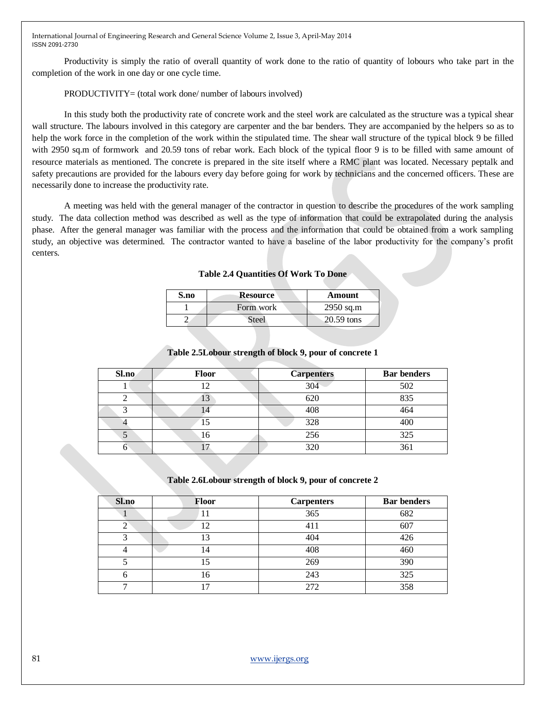Productivity is simply the ratio of overall quantity of work done to the ratio of quantity of lobours who take part in the completion of the work in one day or one cycle time.

### PRODUCTIVITY= (total work done/ number of labours involved)

In this study both the productivity rate of concrete work and the steel work are calculated as the structure was a typical shear wall structure. The labours involved in this category are carpenter and the bar benders. They are accompanied by the helpers so as to help the work force in the completion of the work within the stipulated time. The shear wall structure of the typical block 9 be filled with 2950 sq.m of formwork and 20.59 tons of rebar work. Each block of the typical floor 9 is to be filled with same amount of resource materials as mentioned. The concrete is prepared in the site itself where a RMC plant was located. Necessary peptalk and safety precautions are provided for the labours every day before going for work by technicians and the concerned officers. These are necessarily done to increase the productivity rate.

A meeting was held with the general manager of the contractor in question to describe the procedures of the work sampling study. The data collection method was described as well as the type of information that could be extrapolated during the analysis phase. After the general manager was familiar with the process and the information that could be obtained from a work sampling study, an objective was determined. The contractor wanted to have a baseline of the labor productivity for the company's profit centers.

### **Table 2.4 Quantities Of Work To Done**

| S.no | <b>Resource</b> | Amount       |
|------|-----------------|--------------|
|      | Form work       | $2950$ sq.m  |
|      | Steel           | $20.59$ tons |

### **Table 2.5Lobour strength of block 9, pour of concrete 1**

| Sl.no | <b>Floor</b> | <b>Carpenters</b> | <b>Bar benders</b> |
|-------|--------------|-------------------|--------------------|
|       |              | 304               | 502                |
|       | 13           | 620               | 835                |
| ◠     |              | 408               | 464                |
|       | 15           | 328               | 400                |
| C.    | 16           | 256               | 325                |
| o     |              | 320               | 361                |

#### **Table 2.6Lobour strength of block 9, pour of concrete 2**

| Sl.no | <b>Floor</b> | <b>Carpenters</b> | <b>Bar benders</b> |
|-------|--------------|-------------------|--------------------|
|       | 11           | 365               | 682                |
|       | ⊇            | 411               | 607                |
|       | 13           | 404               | 426                |
|       | 14           | 408               | 460                |
|       | 15           | 269               | 390                |
| n     | 16           | 243               | 325                |
| ⇁     | ┑            | 272               | 358                |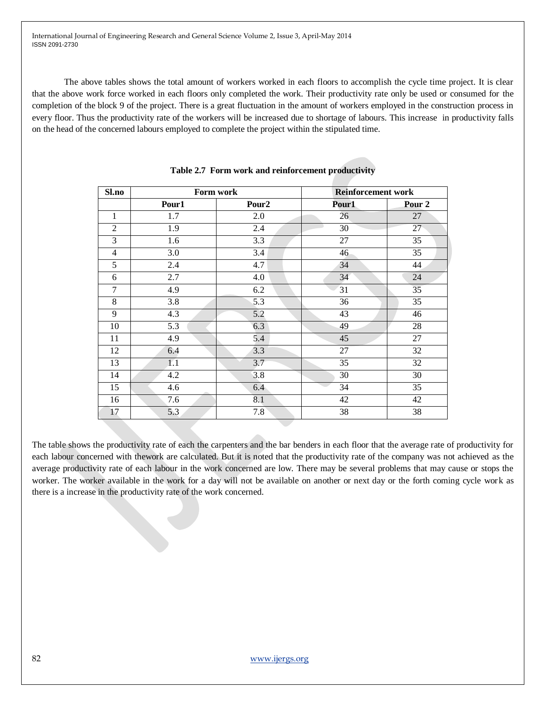The above tables shows the total amount of workers worked in each floors to accomplish the cycle time project. It is clear that the above work force worked in each floors only completed the work. Their productivity rate only be used or consumed for the completion of the block 9 of the project. There is a great fluctuation in the amount of workers employed in the construction process in every floor. Thus the productivity rate of the workers will be increased due to shortage of labours. This increase in productivity falls on the head of the concerned labours employed to complete the project within the stipulated time.

| Sl.no          | Form work        |                   | <b>Reinforcement work</b> |                   |  |  |
|----------------|------------------|-------------------|---------------------------|-------------------|--|--|
|                | Pour1            | Pour <sub>2</sub> | Pour1                     | Pour <sub>2</sub> |  |  |
| 1              | 1.7              | 2.0               | 26                        | 27                |  |  |
| $\overline{2}$ | $\overline{1.9}$ | 2.4               | 30                        | 27                |  |  |
| 3              | 1.6              | 3.3               | 27                        | 35                |  |  |
| 4              | 3.0              | 3.4               | 46                        | 35                |  |  |
| 5              | 2.4              | 4.7               | 34                        | 44                |  |  |
| 6              | 2.7              | 4.0               | 34                        | 24                |  |  |
| 7              | 4.9              | 6.2               | 31                        | 35                |  |  |
| 8              | 3.8              | 5.3               | 36                        | 35                |  |  |
| 9              | 4.3              | 5.2               | 43                        | 46                |  |  |
| 10             | 5.3              | 6.3               | 49                        | 28                |  |  |
| 11             | 4.9              | 5.4               | 45                        | 27                |  |  |
| 12             | 6.4              | 3.3               | 27                        | 32                |  |  |
| 13             | 1.1              | 3.7               | 35                        | 32                |  |  |
| 14             | 4.2              | 3.8               | 30                        | 30                |  |  |
| 15             | 4.6              | 6.4               | 34                        | 35                |  |  |
| 16             | 7.6              | 8.1               | 42                        | 42                |  |  |
| 17             | 5.3              | 7.8               | 38                        | 38                |  |  |

**Table 2.7 Form work and reinforcement productivity**

The table shows the productivity rate of each the carpenters and the bar benders in each floor that the average rate of productivity for each labour concerned with thework are calculated. But it is noted that the productivity rate of the company was not achieved as the average productivity rate of each labour in the work concerned are low. There may be several problems that may cause or stops the worker. The worker available in the work for a day will not be available on another or next day or the forth coming cycle work as there is a increase in the productivity rate of the work concerned.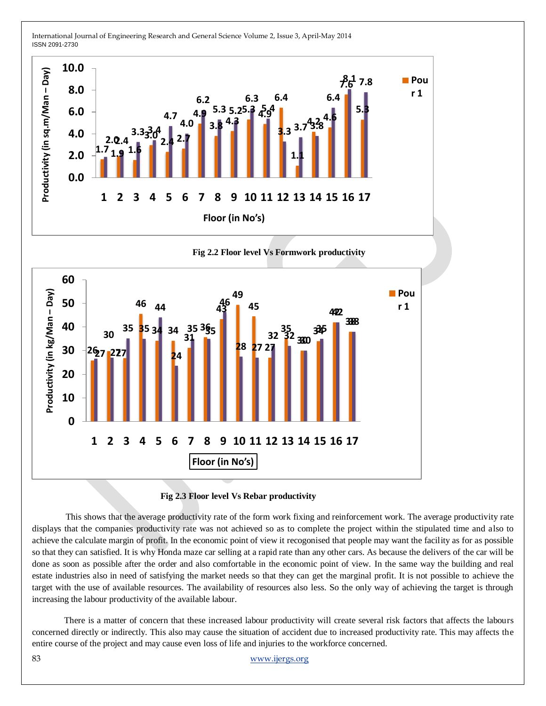

### **Fig 2.3 Floor level Vs Rebar productivity**

 This shows that the average productivity rate of the form work fixing and reinforcement work. The average productivity rate displays that the companies productivity rate was not achieved so as to complete the project within the stipulated time and also to achieve the calculate margin of profit. In the economic point of view it recogonised that people may want the facility as for as possible so that they can satisfied. It is why Honda maze car selling at a rapid rate than any other cars. As because the delivers of the car will be done as soon as possible after the order and also comfortable in the economic point of view. In the same way the building and real estate industries also in need of satisfying the market needs so that they can get the marginal profit. It is not possible to achieve the target with the use of available resources. The availability of resources also less. So the only way of achieving the target is through increasing the labour productivity of the available labour.

There is a matter of concern that these increased labour productivity will create several risk factors that affects the labours concerned directly or indirectly. This also may cause the situation of accident due to increased productivity rate. This may affects the entire course of the project and may cause even loss of life and injuries to the workforce concerned.

83 [www.ijergs.org](http://www.ijergs.org/)